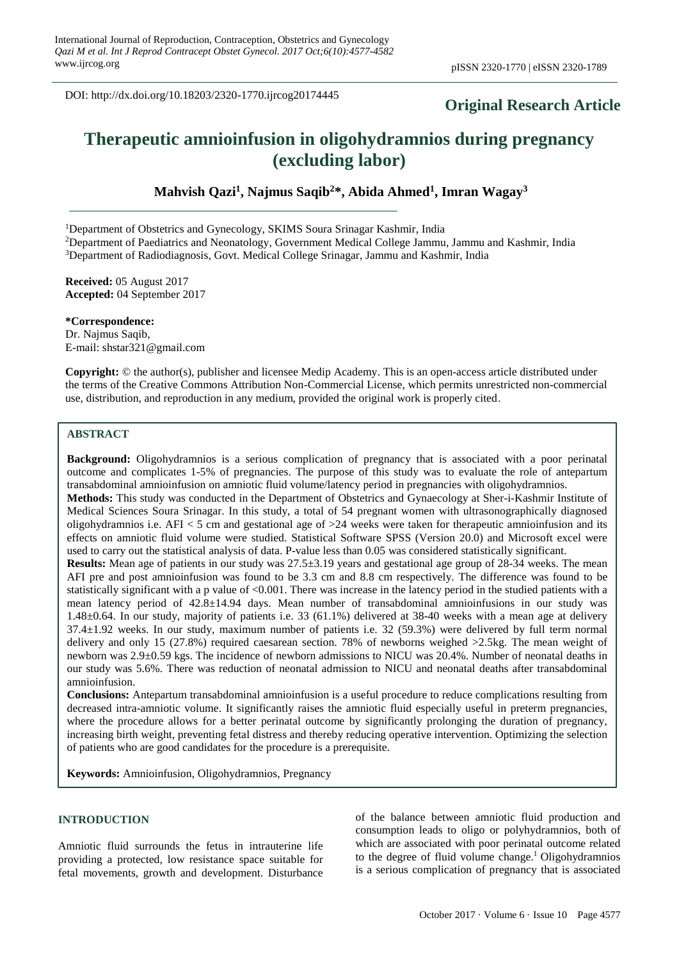# **Original Research Article**

# **Therapeutic amnioinfusion in oligohydramnios during pregnancy (excluding labor)**

**Mahvish Qazi<sup>1</sup> , Najmus Saqib<sup>2</sup>\*, Abida Ahmed<sup>1</sup> , Imran Wagay<sup>3</sup>**

<sup>1</sup>Department of Obstetrics and Gynecology, SKIMS Soura Srinagar Kashmir, India

<sup>2</sup>Department of Paediatrics and Neonatology, Government Medical College Jammu, Jammu and Kashmir, India <sup>3</sup>Department of Radiodiagnosis, Govt. Medical College Srinagar, Jammu and Kashmir, India

**Received:** 05 August 2017 **Accepted:** 04 September 2017

**\*Correspondence:** Dr. Najmus Saqib, E-mail: shstar321@gmail.com

**Copyright:** © the author(s), publisher and licensee Medip Academy. This is an open-access article distributed under the terms of the Creative Commons Attribution Non-Commercial License, which permits unrestricted non-commercial use, distribution, and reproduction in any medium, provided the original work is properly cited.

# **ABSTRACT**

**Background:** Oligohydramnios is a serious complication of pregnancy that is associated with a poor perinatal outcome and complicates 1-5% of pregnancies. The purpose of this study was to evaluate the role of antepartum transabdominal amnioinfusion on amniotic fluid volume/latency period in pregnancies with oligohydramnios. **Methods:** This study was conducted in the Department of Obstetrics and Gynaecology at Sher-i-Kashmir Institute of Medical Sciences Soura Srinagar. In this study, a total of 54 pregnant women with ultrasonographically diagnosed oligohydramnios i.e. AFI  $<$  5 cm and gestational age of  $>$ 24 weeks were taken for therapeutic amnioinfusion and its effects on amniotic fluid volume were studied. Statistical Software SPSS (Version 20.0) and Microsoft excel were used to carry out the statistical analysis of data. P-value less than 0.05 was considered statistically significant.

**Results:** Mean age of patients in our study was  $27.5\pm3.19$  years and gestational age group of 28-34 weeks. The mean AFI pre and post amnioinfusion was found to be 3.3 cm and 8.8 cm respectively. The difference was found to be statistically significant with a p value of <0.001. There was increase in the latency period in the studied patients with a mean latency period of 42.8±14.94 days. Mean number of transabdominal amnioinfusions in our study was 1.48±0.64. In our study, majority of patients i.e. 33 (61.1%) delivered at 38-40 weeks with a mean age at delivery 37.4±1.92 weeks. In our study, maximum number of patients i.e. 32 (59.3%) were delivered by full term normal delivery and only 15 (27.8%) required caesarean section. 78% of newborns weighed >2.5kg. The mean weight of newborn was 2.9±0.59 kgs. The incidence of newborn admissions to NICU was 20.4%. Number of neonatal deaths in our study was 5.6%. There was reduction of neonatal admission to NICU and neonatal deaths after transabdominal amnioinfusion.

**Conclusions:** Antepartum transabdominal amnioinfusion is a useful procedure to reduce complications resulting from decreased intra-amniotic volume. It significantly raises the amniotic fluid especially useful in preterm pregnancies, where the procedure allows for a better perinatal outcome by significantly prolonging the duration of pregnancy, increasing birth weight, preventing fetal distress and thereby reducing operative intervention. Optimizing the selection of patients who are good candidates for the procedure is a prerequisite.

**Keywords:** Amnioinfusion, Oligohydramnios, Pregnancy

# **INTRODUCTION**

Amniotic fluid surrounds the fetus in intrauterine life providing a protected, low resistance space suitable for fetal movements, growth and development. Disturbance

of the balance between amniotic fluid production and consumption leads to oligo or polyhydramnios, both of which are associated with poor perinatal outcome related to the degree of fluid volume change. <sup>1</sup> Oligohydramnios is a serious complication of pregnancy that is associated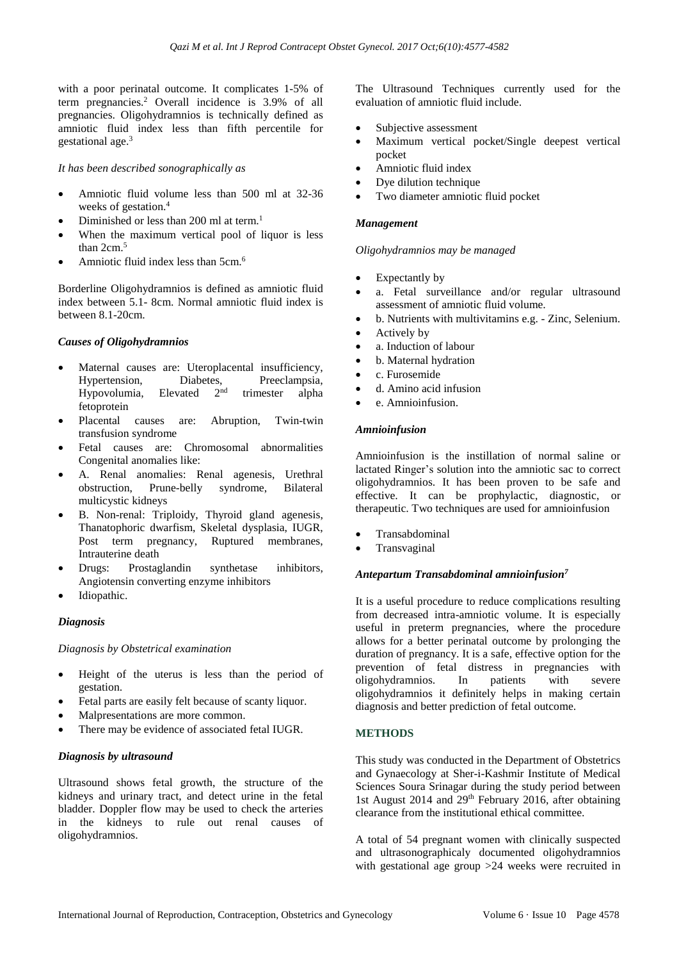with a poor perinatal outcome. It complicates 1-5% of term pregnancies. <sup>2</sup> Overall incidence is 3.9% of all pregnancies. Oligohydramnios is technically defined as amniotic fluid index less than fifth percentile for gestational age. 3

#### *It has been described sonographically as*

- Amniotic fluid volume less than 500 ml at 32-36 weeks of gestation. 4
- Diminished or less than 200 ml at term.<sup>1</sup>
- When the maximum vertical pool of liquor is less than  $2 \text{cm}^5$
- Amniotic fluid index less than 5cm.<sup>6</sup>

Borderline Oligohydramnios is defined as amniotic fluid index between 5.1- 8cm. Normal amniotic fluid index is between 8.1-20cm.

## *Causes of Oligohydramnios*

- Maternal causes are: Uteroplacental insufficiency, Hypertension, Diabetes, Preeclampsia,<br>Hypovolumia, Elevated 2<sup>nd</sup> trimester alpha Hypovolumia, Elevated 2 trimester alpha fetoprotein
- Placental causes are: Abruption, Twin-twin transfusion syndrome
- Fetal causes are: Chromosomal abnormalities Congenital anomalies like:
- A. Renal anomalies: Renal agenesis, Urethral obstruction, Prune-belly syndrome, Bilateral multicystic kidneys
- B. Non-renal: Triploidy, Thyroid gland agenesis, Thanatophoric dwarfism, Skeletal dysplasia, IUGR, Post term pregnancy, Ruptured membranes, Intrauterine death
- Drugs: Prostaglandin synthetase inhibitors, Angiotensin converting enzyme inhibitors
- Idiopathic.

## *Diagnosis*

*Diagnosis by Obstetrical examination*

- Height of the uterus is less than the period of gestation.
- Fetal parts are easily felt because of scanty liquor.
- Malpresentations are more common.
- There may be evidence of associated fetal IUGR.

## *Diagnosis by ultrasound*

Ultrasound shows fetal growth, the structure of the kidneys and urinary tract, and detect urine in the fetal bladder. Doppler flow may be used to check the arteries in the kidneys to rule out renal causes of oligohydramnios.

The Ultrasound Techniques currently used for the evaluation of amniotic fluid include.

- Subjective assessment
- Maximum vertical pocket/Single deepest vertical pocket
- Amniotic fluid index
- Dye dilution technique
- Two diameter amniotic fluid pocket

#### *Management*

#### *Oligohydramnios may be managed*

- Expectantly by
- a. Fetal surveillance and/or regular ultrasound assessment of amniotic fluid volume.
- b. Nutrients with multivitamins e.g. Zinc, Selenium.
- Actively by
- a. Induction of labour
- b. Maternal hydration
- c. Furosemide
- d. Amino acid infusion
- e. Amnioinfusion.

#### *Amnioinfusion*

Amnioinfusion is the instillation of normal saline or lactated Ringer's solution into the amniotic sac to correct oligohydramnios. It has been proven to be safe and effective. It can be prophylactic, diagnostic, or therapeutic. Two techniques are used for amnioinfusion

- Transabdominal
- **Transvaginal**

#### *Antepartum Transabdominal amnioinfusion<sup>7</sup>*

It is a useful procedure to reduce complications resulting from decreased intra-amniotic volume. It is especially useful in preterm pregnancies, where the procedure allows for a better perinatal outcome by prolonging the duration of pregnancy. It is a safe, effective option for the prevention of fetal distress in pregnancies with oligohydramnios. In patients with severe oligohydramnios it definitely helps in making certain diagnosis and better prediction of fetal outcome.

## **METHODS**

This study was conducted in the Department of Obstetrics and Gynaecology at Sher-i-Kashmir Institute of Medical Sciences Soura Srinagar during the study period between 1st August 2014 and 29th February 2016, after obtaining clearance from the institutional ethical committee.

A total of 54 pregnant women with clinically suspected and ultrasonographicaly documented oligohydramnios with gestational age group >24 weeks were recruited in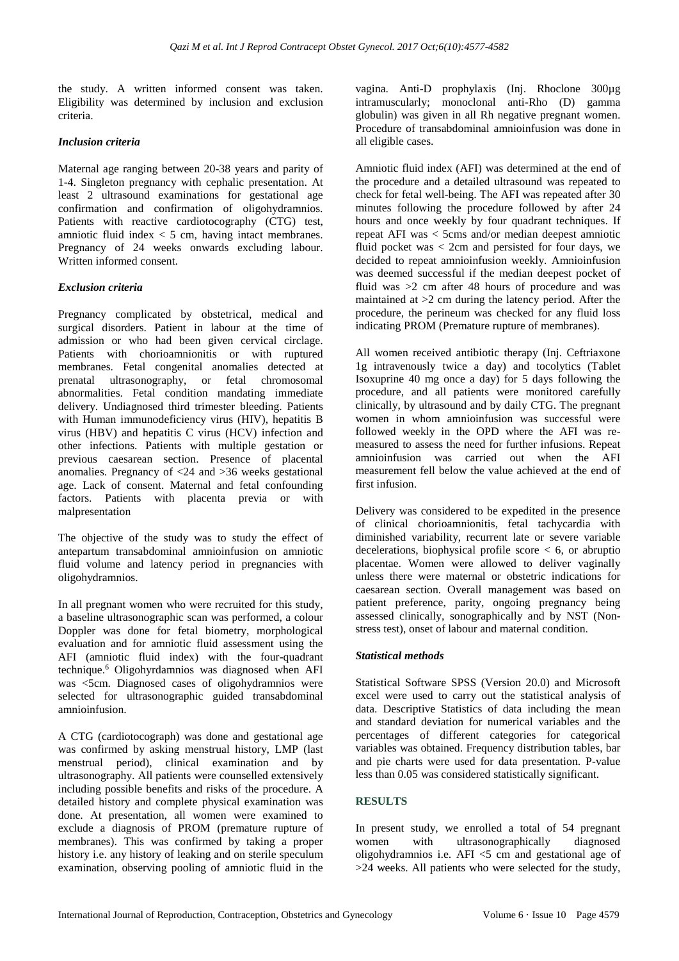the study. A written informed consent was taken. Eligibility was determined by inclusion and exclusion criteria.

## *Inclusion criteria*

Maternal age ranging between 20-38 years and parity of 1-4. Singleton pregnancy with cephalic presentation. At least 2 ultrasound examinations for gestational age confirmation and confirmation of oligohydramnios. Patients with reactive cardiotocography (CTG) test, amniotic fluid index  $< 5$  cm, having intact membranes. Pregnancy of 24 weeks onwards excluding labour. Written informed consent.

## *Exclusion criteria*

Pregnancy complicated by obstetrical, medical and surgical disorders. Patient in labour at the time of admission or who had been given cervical circlage. Patients with chorioamnionitis or with ruptured membranes. Fetal congenital anomalies detected at prenatal ultrasonography, or fetal chromosomal abnormalities. Fetal condition mandating immediate delivery. Undiagnosed third trimester bleeding. Patients with Human immunodeficiency virus (HIV), hepatitis B virus (HBV) and hepatitis C virus (HCV) infection and other infections. Patients with multiple gestation or previous caesarean section. Presence of placental anomalies. Pregnancy of <24 and >36 weeks gestational age. Lack of consent. Maternal and fetal confounding factors. Patients with placenta previa or with malpresentation

The objective of the study was to study the effect of antepartum transabdominal amnioinfusion on amniotic fluid volume and latency period in pregnancies with oligohydramnios.

In all pregnant women who were recruited for this study, a baseline ultrasonographic scan was performed, a colour Doppler was done for fetal biometry, morphological evaluation and for amniotic fluid assessment using the AFI (amniotic fluid index) with the four-quadrant technique.<sup>6</sup> Oligohyrdamnios was diagnosed when AFI was <5cm. Diagnosed cases of oligohydramnios were selected for ultrasonographic guided transabdominal amnioinfusion.

A CTG (cardiotocograph) was done and gestational age was confirmed by asking menstrual history, LMP (last menstrual period), clinical examination and by ultrasonography. All patients were counselled extensively including possible benefits and risks of the procedure. A detailed history and complete physical examination was done. At presentation, all women were examined to exclude a diagnosis of PROM (premature rupture of membranes). This was confirmed by taking a proper history i.e. any history of leaking and on sterile speculum examination, observing pooling of amniotic fluid in the

vagina. Anti-D prophylaxis (Inj. Rhoclone 300µg intramuscularly; monoclonal anti-Rho (D) gamma globulin) was given in all Rh negative pregnant women. Procedure of transabdominal amnioinfusion was done in all eligible cases.

Amniotic fluid index (AFI) was determined at the end of the procedure and a detailed ultrasound was repeated to check for fetal well-being. The AFI was repeated after 30 minutes following the procedure followed by after 24 hours and once weekly by four quadrant techniques. If repeat AFI was < 5cms and/or median deepest amniotic fluid pocket was  $\lt$  2cm and persisted for four days, we decided to repeat amnioinfusion weekly. Amnioinfusion was deemed successful if the median deepest pocket of fluid was >2 cm after 48 hours of procedure and was maintained at  $>2$  cm during the latency period. After the procedure, the perineum was checked for any fluid loss indicating PROM (Premature rupture of membranes).

All women received antibiotic therapy (Inj. Ceftriaxone 1g intravenously twice a day) and tocolytics (Tablet Isoxuprine 40 mg once a day) for 5 days following the procedure, and all patients were monitored carefully clinically, by ultrasound and by daily CTG. The pregnant women in whom amnioinfusion was successful were followed weekly in the OPD where the AFI was remeasured to assess the need for further infusions. Repeat amnioinfusion was carried out when the AFI measurement fell below the value achieved at the end of first infusion.

Delivery was considered to be expedited in the presence of clinical chorioamnionitis, fetal tachycardia with diminished variability, recurrent late or severe variable decelerations, biophysical profile score < 6, or abruptio placentae. Women were allowed to deliver vaginally unless there were maternal or obstetric indications for caesarean section. Overall management was based on patient preference, parity, ongoing pregnancy being assessed clinically, sonographically and by NST (Nonstress test), onset of labour and maternal condition.

#### *Statistical methods*

Statistical Software SPSS (Version 20.0) and Microsoft excel were used to carry out the statistical analysis of data. Descriptive Statistics of data including the mean and standard deviation for numerical variables and the percentages of different categories for categorical variables was obtained. Frequency distribution tables, bar and pie charts were used for data presentation. P-value less than 0.05 was considered statistically significant.

## **RESULTS**

In present study, we enrolled a total of 54 pregnant women with ultrasonographically diagnosed oligohydramnios i.e.  $AFI < 5$  cm and gestational age of >24 weeks. All patients who were selected for the study,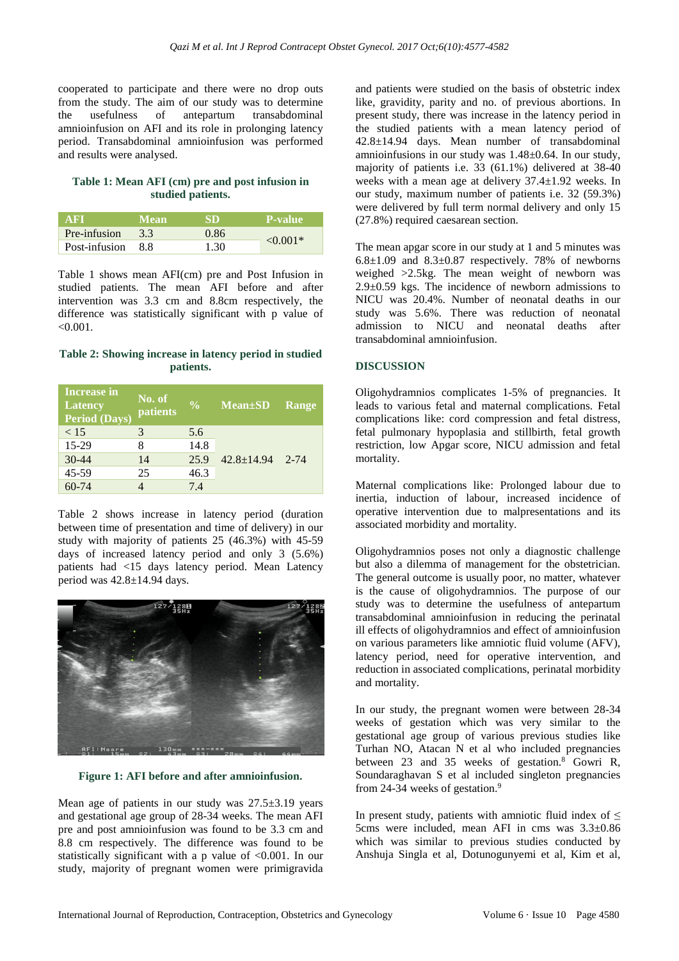cooperated to participate and there were no drop outs from the study. The aim of our study was to determine the usefulness of antepartum transabdominal amnioinfusion on AFI and its role in prolonging latency period. Transabdominal amnioinfusion was performed and results were analysed.

# **Table 1: Mean AFI (cm) pre and post infusion in studied patients.**

| <b>AFI</b>        | <b>Mean</b>   | SD   | P-value       |
|-------------------|---------------|------|---------------|
| Pre-infusion      | $3.3^{\circ}$ | 0.86 |               |
| Post-infusion 8.8 |               | 1.30 | $\leq 0.001*$ |

Table 1 shows mean AFI(cm) pre and Post Infusion in studied patients. The mean AFI before and after intervention was 3.3 cm and 8.8cm respectively, the difference was statistically significant with p value of  $< 0.001$ .

## **Table 2: Showing increase in latency period in studied patients.**

| Increase in<br><b>Latency</b><br>Period (Days) | No. of<br>patients | $\sqrt[6]{\cdot}$ | Mean±SD Range  |          |
|------------------------------------------------|--------------------|-------------------|----------------|----------|
| < 15                                           | 3                  | 5.6               |                |          |
| 15-29                                          | 8                  | 14.8              |                | $2 - 74$ |
| $30 - 44$                                      | 14                 | 25.9              | $42.8 + 14.94$ |          |
| 45-59                                          | 25                 | 46.3              |                |          |
| $60 - 74$                                      |                    | 7.4               |                |          |

Table 2 shows increase in latency period (duration between time of presentation and time of delivery) in our study with majority of patients 25 (46.3%) with 45-59 days of increased latency period and only 3 (5.6%) patients had <15 days latency period. Mean Latency period was 42.8±14.94 days.



**Figure 1: AFI before and after amnioinfusion.**

Mean age of patients in our study was  $27.5\pm3.19$  years and gestational age group of 28-34 weeks. The mean AFI pre and post amnioinfusion was found to be 3.3 cm and 8.8 cm respectively. The difference was found to be statistically significant with a p value of <0.001. In our study, majority of pregnant women were primigravida and patients were studied on the basis of obstetric index like, gravidity, parity and no. of previous abortions. In present study, there was increase in the latency period in the studied patients with a mean latency period of 42.8±14.94 days. Mean number of transabdominal amnioinfusions in our study was 1.48±0.64. In our study, majority of patients i.e. 33 (61.1%) delivered at 38-40 weeks with a mean age at delivery 37.4±1.92 weeks. In our study, maximum number of patients i.e. 32 (59.3%) were delivered by full term normal delivery and only 15 (27.8%) required caesarean section.

The mean apgar score in our study at 1 and 5 minutes was  $6.8\pm1.09$  and  $8.3\pm0.87$  respectively. 78% of newborns weighed >2.5kg. The mean weight of newborn was 2.9±0.59 kgs. The incidence of newborn admissions to NICU was 20.4%. Number of neonatal deaths in our study was 5.6%. There was reduction of neonatal admission to NICU and neonatal deaths after transabdominal amnioinfusion.

# **DISCUSSION**

Oligohydramnios complicates 1-5% of pregnancies. It leads to various fetal and maternal complications. Fetal complications like: cord compression and fetal distress, fetal pulmonary hypoplasia and stillbirth, fetal growth restriction, low Apgar score, NICU admission and fetal mortality.

Maternal complications like: Prolonged labour due to inertia, induction of labour, increased incidence of operative intervention due to malpresentations and its associated morbidity and mortality.

Oligohydramnios poses not only a diagnostic challenge but also a dilemma of management for the obstetrician. The general outcome is usually poor, no matter, whatever is the cause of oligohydramnios. The purpose of our study was to determine the usefulness of antepartum transabdominal amnioinfusion in reducing the perinatal ill effects of oligohydramnios and effect of amnioinfusion on various parameters like amniotic fluid volume (AFV), latency period, need for operative intervention, and reduction in associated complications, perinatal morbidity and mortality.

In our study, the pregnant women were between 28-34 weeks of gestation which was very similar to the gestational age group of various previous studies like Turhan NO, Atacan N et al who included pregnancies between 23 and 35 weeks of gestation.<sup>8</sup> Gowri R, Soundaraghavan S et al included singleton pregnancies from 24-34 weeks of gestation.<sup>9</sup>

In present study, patients with amniotic fluid index of  $\leq$ 5cms were included, mean AFI in cms was 3.3±0.86 which was similar to previous studies conducted by Anshuja Singla et al, Dotunogunyemi et al, Kim et al,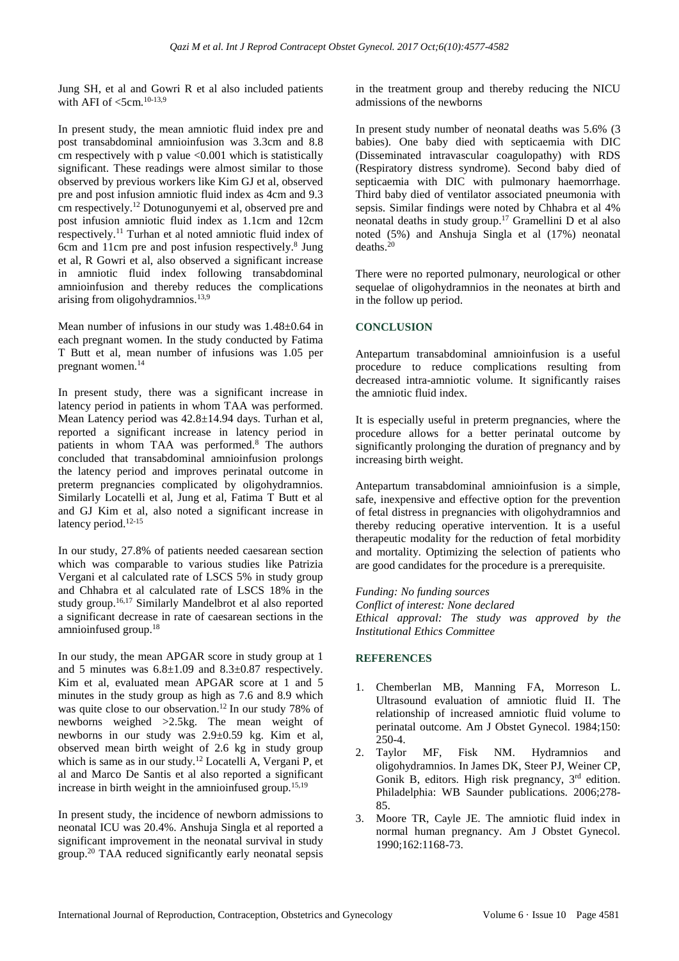Jung SH, et al and Gowri R et al also included patients with AFI of  $<$ 5cm.<sup>10-13,9</sup>

In present study, the mean amniotic fluid index pre and post transabdominal amnioinfusion was 3.3cm and 8.8 cm respectively with p value <0.001 which is statistically significant. These readings were almost similar to those observed by previous workers like Kim GJ et al, observed pre and post infusion amniotic fluid index as 4cm and 9.3 cm respectively.<sup>12</sup> Dotunogunyemi et al, observed pre and post infusion amniotic fluid index as 1.1cm and 12cm respectively.<sup>11</sup> Turhan et al noted amniotic fluid index of 6cm and 11cm pre and post infusion respectively.<sup>8</sup> Jung et al, R Gowri et al, also observed a significant increase in amniotic fluid index following transabdominal amnioinfusion and thereby reduces the complications arising from oligohydramnios.<sup>13,9</sup>

Mean number of infusions in our study was 1.48±0.64 in each pregnant women. In the study conducted by Fatima T Butt et al, mean number of infusions was 1.05 per pregnant women.<sup>14</sup>

In present study, there was a significant increase in latency period in patients in whom TAA was performed. Mean Latency period was 42.8±14.94 days. Turhan et al, reported a significant increase in latency period in patients in whom TAA was performed.<sup>8</sup> The authors concluded that transabdominal amnioinfusion prolongs the latency period and improves perinatal outcome in preterm pregnancies complicated by oligohydramnios. Similarly Locatelli et al, Jung et al, Fatima T Butt et al and GJ Kim et al, also noted a significant increase in latency period.<sup>12-15</sup>

In our study, 27.8% of patients needed caesarean section which was comparable to various studies like Patrizia Vergani et al calculated rate of LSCS 5% in study group and Chhabra et al calculated rate of LSCS 18% in the study group.16,17 Similarly Mandelbrot et al also reported a significant decrease in rate of caesarean sections in the amnioinfused group.<sup>18</sup>

In our study, the mean APGAR score in study group at 1 and 5 minutes was  $6.8\pm1.09$  and  $8.3\pm0.87$  respectively. Kim et al, evaluated mean APGAR score at 1 and 5 minutes in the study group as high as 7.6 and 8.9 which was quite close to our observation.<sup>12</sup> In our study 78% of newborns weighed >2.5kg. The mean weight of newborns in our study was  $2.9 \pm 0.59$  kg. Kim et al, observed mean birth weight of 2.6 kg in study group which is same as in our study.<sup>12</sup> Locatelli A, Vergani P, et al and Marco De Santis et al also reported a significant increase in birth weight in the amnioinfused group.<sup>15,19</sup>

In present study, the incidence of newborn admissions to neonatal ICU was 20.4%. Anshuja Singla et al reported a significant improvement in the neonatal survival in study group.<sup>20</sup> TAA reduced significantly early neonatal sepsis in the treatment group and thereby reducing the NICU admissions of the newborns

In present study number of neonatal deaths was 5.6% (3 babies). One baby died with septicaemia with DIC (Disseminated intravascular coagulopathy) with RDS (Respiratory distress syndrome). Second baby died of septicaemia with DIC with pulmonary haemorrhage. Third baby died of ventilator associated pneumonia with sepsis. Similar findings were noted by Chhabra et al 4% neonatal deaths in study group.<sup>17</sup> Gramellini D et al also noted (5%) and Anshuja Singla et al (17%) neonatal deaths.<sup>20</sup>

There were no reported pulmonary, neurological or other sequelae of oligohydramnios in the neonates at birth and in the follow up period.

## **CONCLUSION**

Antepartum transabdominal amnioinfusion is a useful procedure to reduce complications resulting from decreased intra-amniotic volume. It significantly raises the amniotic fluid index.

It is especially useful in preterm pregnancies, where the procedure allows for a better perinatal outcome by significantly prolonging the duration of pregnancy and by increasing birth weight.

Antepartum transabdominal amnioinfusion is a simple, safe, inexpensive and effective option for the prevention of fetal distress in pregnancies with oligohydramnios and thereby reducing operative intervention. It is a useful therapeutic modality for the reduction of fetal morbidity and mortality. Optimizing the selection of patients who are good candidates for the procedure is a prerequisite.

*Funding: No funding sources Conflict of interest: None declared Ethical approval: The study was approved by the Institutional Ethics Committee*

## **REFERENCES**

- 1. Chemberlan MB, Manning FA, Morreson L. Ultrasound evaluation of amniotic fluid II. The relationship of increased amniotic fluid volume to perinatal outcome. Am J Obstet Gynecol. 1984;150: 250-4.
- 2. Taylor MF, Fisk NM. Hydramnios and oligohydramnios. In James DK, Steer PJ, Weiner CP, Gonik B, editors. High risk pregnancy, 3rd edition. Philadelphia: WB Saunder publications. 2006;278- 85.
- 3. Moore TR, Cayle JE. The amniotic fluid index in normal human pregnancy. Am J Obstet Gynecol. 1990;162:1168-73.